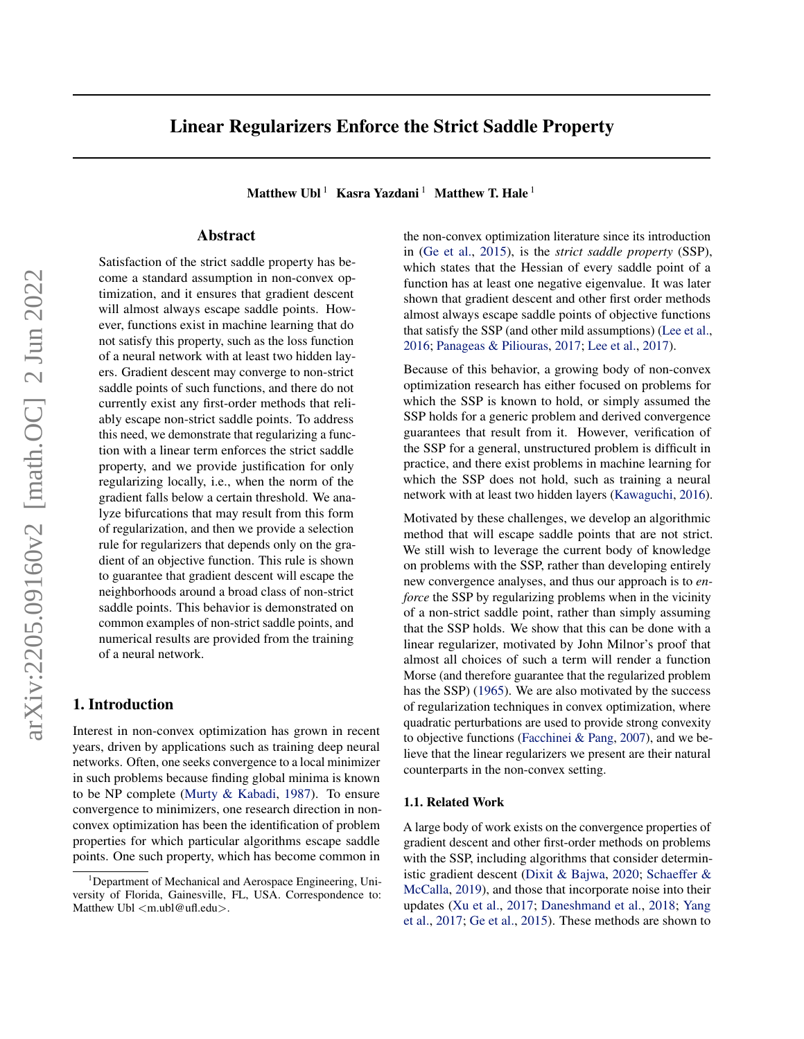# Linear Regularizers Enforce the Strict Saddle Property

Matthew Ubl<sup>1</sup> Kasra Yazdani<sup>1</sup> Matthew T. Hale<sup>1</sup>

# Abstract

Satisfaction of the strict saddle property has become a standard assumption in non-convex optimization, and it ensures that gradient descent will almost always escape saddle points. However, functions exist in machine learning that do not satisfy this property, such as the loss function of a neural network with at least two hidden layers. Gradient descent may converge to non-strict saddle points of such functions, and there do not currently exist any first-order methods that reliably escape non-strict saddle points. To address this need, we demonstrate that regularizing a function with a linear term enforces the strict saddle property, and we provide justification for only regularizing locally, i.e., when the norm of the gradient falls below a certain threshold. We analyze bifurcations that may result from this form of regularization, and then we provide a selection rule for regularizers that depends only on the gradient of an objective function. This rule is shown to guarantee that gradient descent will escape the neighborhoods around a broad class of non-strict saddle points. This behavior is demonstrated on common examples of non-strict saddle points, and numerical results are provided from the training of a neural network.

# 1. Introduction

Interest in non-convex optimization has grown in recent years, driven by applications such as training deep neural networks. Often, one seeks convergence to a local minimizer in such problems because finding global minima is known to be NP complete [\(Murty & Kabadi,](#page-8-0) [1987\)](#page-8-0). To ensure convergence to minimizers, one research direction in nonconvex optimization has been the identification of problem properties for which particular algorithms escape saddle points. One such property, which has become common in

the non-convex optimization literature since its introduction in [\(Ge et al.,](#page-8-1) [2015\)](#page-8-1), is the *strict saddle property* (SSP), which states that the Hessian of every saddle point of a function has at least one negative eigenvalue. It was later shown that gradient descent and other first order methods almost always escape saddle points of objective functions that satisfy the SSP (and other mild assumptions) [\(Lee et al.,](#page-8-2) [2016;](#page-8-2) [Panageas & Piliouras,](#page-8-3) [2017;](#page-8-3) [Lee et al.,](#page-8-4) [2017\)](#page-8-4).

Because of this behavior, a growing body of non-convex optimization research has either focused on problems for which the SSP is known to hold, or simply assumed the SSP holds for a generic problem and derived convergence guarantees that result from it. However, verification of the SSP for a general, unstructured problem is difficult in practice, and there exist problems in machine learning for which the SSP does not hold, such as training a neural network with at least two hidden layers [\(Kawaguchi,](#page-8-5) [2016\)](#page-8-5).

Motivated by these challenges, we develop an algorithmic method that will escape saddle points that are not strict. We still wish to leverage the current body of knowledge on problems with the SSP, rather than developing entirely new convergence analyses, and thus our approach is to *enforce* the SSP by regularizing problems when in the vicinity of a non-strict saddle point, rather than simply assuming that the SSP holds. We show that this can be done with a linear regularizer, motivated by John Milnor's proof that almost all choices of such a term will render a function Morse (and therefore guarantee that the regularized problem has the SSP) [\(1965\)](#page-8-6). We are also motivated by the success of regularization techniques in convex optimization, where quadratic perturbations are used to provide strong convexity to objective functions [\(Facchinei & Pang,](#page-8-7) [2007\)](#page-8-7), and we believe that the linear regularizers we present are their natural counterparts in the non-convex setting.

#### 1.1. Related Work

A large body of work exists on the convergence properties of gradient descent and other first-order methods on problems with the SSP, including algorithms that consider deterministic gradient descent [\(Dixit & Bajwa,](#page-8-8) [2020;](#page-8-8) [Schaeffer &](#page-8-9) [McCalla,](#page-8-9) [2019\)](#page-8-9), and those that incorporate noise into their updates [\(Xu et al.,](#page-8-10) [2017;](#page-8-10) [Daneshmand et al.,](#page-8-11) [2018;](#page-8-11) [Yang](#page-8-12) [et al.,](#page-8-12) [2017;](#page-8-12) [Ge et al.,](#page-8-1) [2015\)](#page-8-1). These methods are shown to

<sup>&</sup>lt;sup>1</sup>Department of Mechanical and Aerospace Engineering, University of Florida, Gainesville, FL, USA. Correspondence to: Matthew Ubl <m.ubl@ufl.edu>.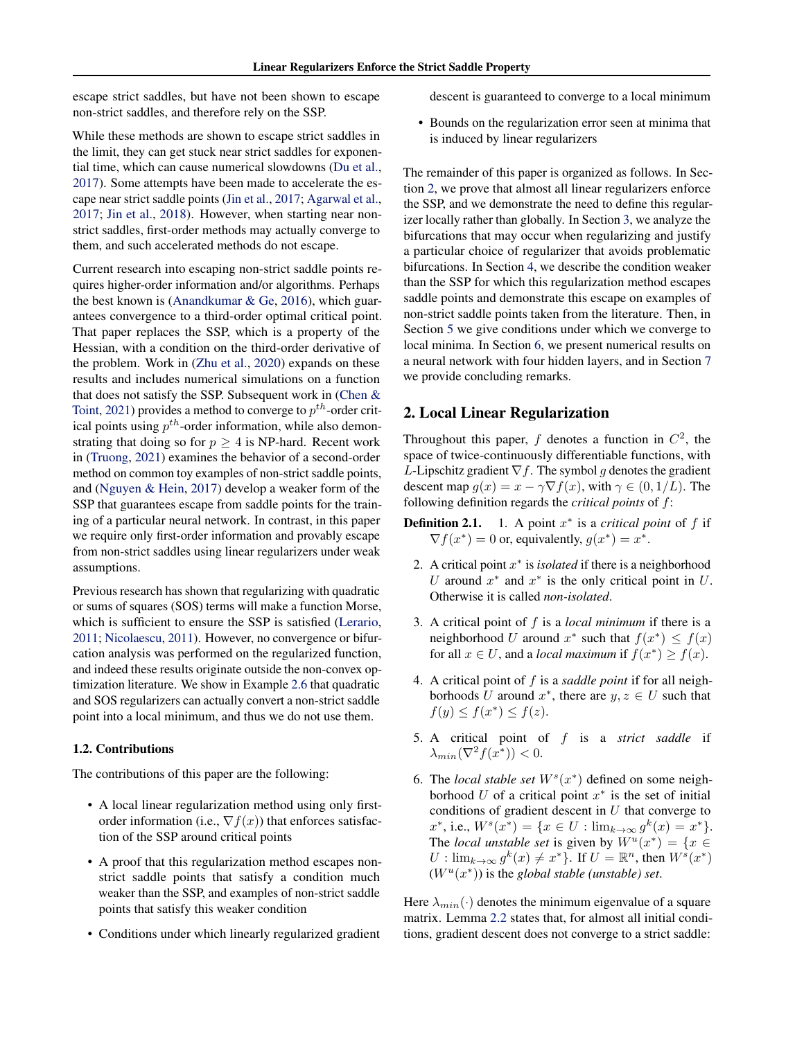escape strict saddles, but have not been shown to escape non-strict saddles, and therefore rely on the SSP.

While these methods are shown to escape strict saddles in the limit, they can get stuck near strict saddles for exponential time, which can cause numerical slowdowns [\(Du et al.,](#page-8-13) [2017\)](#page-8-13). Some attempts have been made to accelerate the escape near strict saddle points [\(Jin et al.,](#page-8-14) [2017;](#page-8-14) [Agarwal et al.,](#page-7-0) [2017;](#page-7-0) [Jin et al.,](#page-8-15) [2018\)](#page-8-15). However, when starting near nonstrict saddles, first-order methods may actually converge to them, and such accelerated methods do not escape.

Current research into escaping non-strict saddle points requires higher-order information and/or algorithms. Perhaps the best known is [\(Anandkumar & Ge,](#page-8-16) [2016\)](#page-8-16), which guarantees convergence to a third-order optimal critical point. That paper replaces the SSP, which is a property of the Hessian, with a condition on the third-order derivative of the problem. Work in [\(Zhu et al.,](#page-8-17) [2020\)](#page-8-17) expands on these results and includes numerical simulations on a function that does not satisfy the SSP. Subsequent work in [\(Chen &](#page-8-18) [Toint,](#page-8-18) [2021\)](#page-8-18) provides a method to converge to  $p^{th}$ -order critical points using  $p^{th}$ -order information, while also demonstrating that doing so for  $p \geq 4$  is NP-hard. Recent work in [\(Truong,](#page-8-19) [2021\)](#page-8-19) examines the behavior of a second-order method on common toy examples of non-strict saddle points, and [\(Nguyen & Hein,](#page-8-20) [2017\)](#page-8-20) develop a weaker form of the SSP that guarantees escape from saddle points for the training of a particular neural network. In contrast, in this paper we require only first-order information and provably escape from non-strict saddles using linear regularizers under weak assumptions.

Previous research has shown that regularizing with quadratic or sums of squares (SOS) terms will make a function Morse, which is sufficient to ensure the SSP is satisfied [\(Lerario,](#page-8-21) [2011;](#page-8-21) [Nicolaescu,](#page-8-22) [2011\)](#page-8-22). However, no convergence or bifurcation analysis was performed on the regularized function, and indeed these results originate outside the non-convex optimization literature. We show in Example [2.6](#page-2-0) that quadratic and SOS regularizers can actually convert a non-strict saddle point into a local minimum, and thus we do not use them.

### 1.2. Contributions

The contributions of this paper are the following:

- A local linear regularization method using only firstorder information (i.e.,  $\nabla f(x)$ ) that enforces satisfaction of the SSP around critical points
- A proof that this regularization method escapes nonstrict saddle points that satisfy a condition much weaker than the SSP, and examples of non-strict saddle points that satisfy this weaker condition
- Conditions under which linearly regularized gradient

descent is guaranteed to converge to a local minimum

• Bounds on the regularization error seen at minima that is induced by linear regularizers

The remainder of this paper is organized as follows. In Section [2,](#page-1-0) we prove that almost all linear regularizers enforce the SSP, and we demonstrate the need to define this regularizer locally rather than globally. In Section [3,](#page-3-0) we analyze the bifurcations that may occur when regularizing and justify a particular choice of regularizer that avoids problematic bifurcations. In Section [4,](#page-5-0) we describe the condition weaker than the SSP for which this regularization method escapes saddle points and demonstrate this escape on examples of non-strict saddle points taken from the literature. Then, in Section [5](#page-6-0) we give conditions under which we converge to local minima. In Section [6,](#page-7-1) we present numerical results on a neural network with four hidden layers, and in Section [7](#page-7-2) we provide concluding remarks.

## <span id="page-1-0"></span>2. Local Linear Regularization

Throughout this paper, f denotes a function in  $C^2$ , the space of twice-continuously differentiable functions, with L-Lipschitz gradient  $\nabla f$ . The symbol q denotes the gradient descent map  $g(x) = x - \gamma \nabla f(x)$ , with  $\gamma \in (0, 1/L)$ . The following definition regards the *critical points* of f:

- **Definition 2.1.** 1. A point  $x^*$  is a *critical point* of  $f$  if  $\nabla f(x^*) = 0$  or, equivalently,  $g(x^*) = x^*$ .
- 2. A critical point  $x^*$  is *isolated* if there is a neighborhood U around  $x^*$  and  $x^*$  is the only critical point in U. Otherwise it is called *non-isolated*.
- 3. A critical point of f is a *local minimum* if there is a neighborhood U around  $x^*$  such that  $f(x^*) \leq f(x)$ for all  $x \in U$ , and a *local maximum* if  $f(x^*) \ge f(x)$ .
- 4. A critical point of f is a *saddle point* if for all neighborhoods U around  $x^*$ , there are  $y, z \in U$  such that  $f(y) \le f(x^*) \le f(z)$ .
- 5. A critical point of f is a *strict saddle* if  $\lambda_{min}(\nabla^2 f(x^*)) < 0.$
- 6. The *local stable set*  $W<sup>s</sup>(x<sup>*</sup>)$  defined on some neighborhood  $U$  of a critical point  $x^*$  is the set of initial conditions of gradient descent in  $U$  that converge to  $x^*$ , i.e.,  $W^s(x^*) = \{x \in U : \lim_{k \to \infty} g^k(x) = x^*\}.$ The *local unstable set* is given by  $W^u(x^*) = \{x \in$  $U: \lim_{k \to \infty} g^k(x) \neq x^*$ . If  $U = \mathbb{R}^n$ , then  $W^s(x^*)$  $(W^u(x^*))$  is the *global stable (unstable) set*.

<span id="page-1-1"></span>Here  $\lambda_{min}(\cdot)$  denotes the minimum eigenvalue of a square matrix. Lemma [2.2](#page-1-1) states that, for almost all initial conditions, gradient descent does not converge to a strict saddle: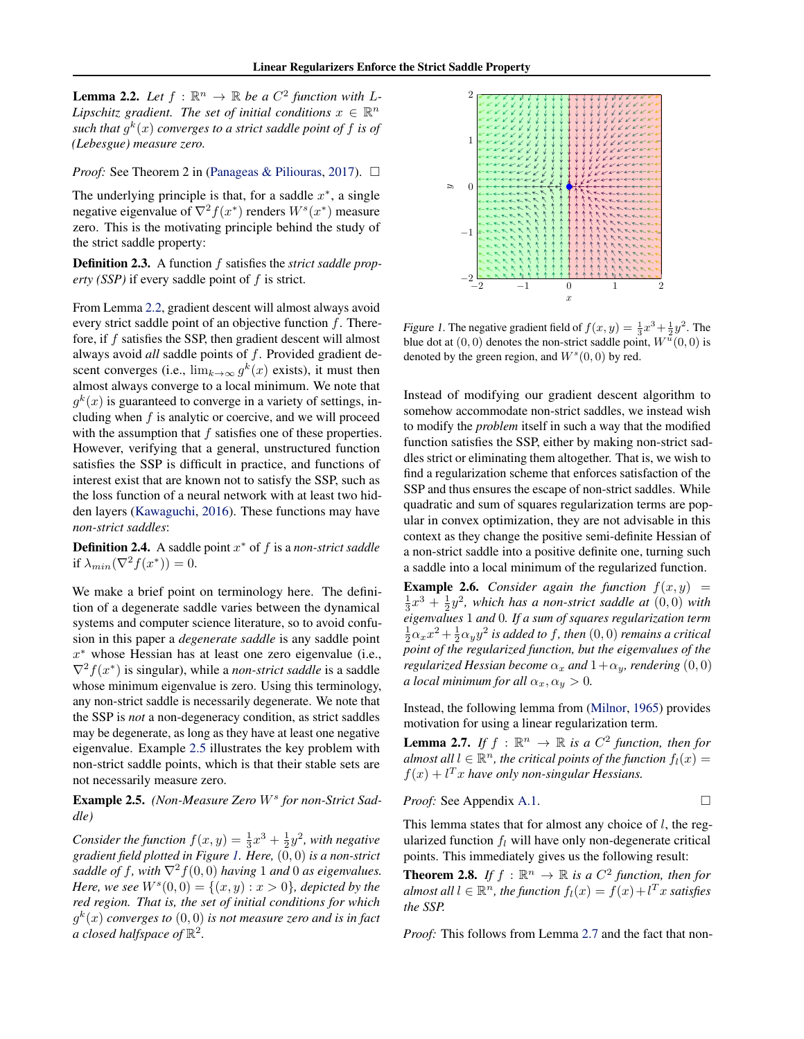**Lemma 2.2.** Let  $f : \mathbb{R}^n \to \mathbb{R}$  be a  $C^2$  function with L-*Lipschitz gradient. The set of initial conditions*  $x \in \mathbb{R}^n$ such that  $g^k(x)$  converges to a strict saddle point of  $f$  is of *(Lebesgue) measure zero.*

*Proof:* See Theorem 2 in [\(Panageas & Piliouras,](#page-8-3) [2017\)](#page-8-3). □

The underlying principle is that, for a saddle  $x^*$ , a single negative eigenvalue of  $\nabla^2 f(x^*)$  renders  $W^s(x^*)$  measure zero. This is the motivating principle behind the study of the strict saddle property:

Definition 2.3. A function f satisfies the *strict saddle prop* $erty$  (SSP) if every saddle point of  $f$  is strict.

From Lemma [2.2,](#page-1-1) gradient descent will almost always avoid every strict saddle point of an objective function  $f$ . Therefore, if f satisfies the SSP, then gradient descent will almost always avoid *all* saddle points of f. Provided gradient descent converges (i.e.,  $\lim_{k\to\infty} g^k(x)$  exists), it must then almost always converge to a local minimum. We note that  $g^k(x)$  is guaranteed to converge in a variety of settings, including when  $f$  is analytic or coercive, and we will proceed with the assumption that  $f$  satisfies one of these properties. However, verifying that a general, unstructured function satisfies the SSP is difficult in practice, and functions of interest exist that are known not to satisfy the SSP, such as the loss function of a neural network with at least two hidden layers [\(Kawaguchi,](#page-8-5) [2016\)](#page-8-5). These functions may have *non-strict saddles*:

**Definition 2.4.** A saddle point  $x^*$  of  $f$  is a *non-strict saddle* if  $\lambda_{min}(\nabla^2 f(x^*)) = 0.$ 

We make a brief point on terminology here. The definition of a degenerate saddle varies between the dynamical systems and computer science literature, so to avoid confusion in this paper a *degenerate saddle* is any saddle point  $x^*$  whose Hessian has at least one zero eigenvalue (i.e.,  $\nabla^2 f(x^*)$  is singular), while a *non-strict saddle* is a saddle whose minimum eigenvalue is zero. Using this terminology, any non-strict saddle is necessarily degenerate. We note that the SSP is *not* a non-degeneracy condition, as strict saddles may be degenerate, as long as they have at least one negative eigenvalue. Example [2.5](#page-2-1) illustrates the key problem with non-strict saddle points, which is that their stable sets are not necessarily measure zero.

<span id="page-2-1"></span>Example 2.5. (Non-Measure Zero W<sup>s</sup> for non-Strict Sad*dle)*

Consider the function  $f(x,y) = \frac{1}{3}x^3 + \frac{1}{2}y^2$ , with negative *gradient field plotted in Figure [1.](#page-2-2) Here,* (0, 0) *is a non-strict saddle of f, with*  $\nabla^2 f(0,0)$  *having* 1 *and* 0 *as eigenvalues. Here, we see*  $W^{s}(0,0) = \{(x,y) : x > 0\}$ *, depicted by the red region. That is, the set of initial conditions for which* g k (x) *converges to* (0, 0) *is not measure zero and is in fact a* closed halfspace of  $\mathbb{R}^2$ .



<span id="page-2-2"></span>Figure 1. The negative gradient field of  $f(x, y) = \frac{1}{3}x^3 + \frac{1}{2}y^2$ . The blue dot at  $(0,0)$  denotes the non-strict saddle point,  $W^{\bar{u}}(0,0)$  is denoted by the green region, and  $W^s(0,0)$  by red.

Instead of modifying our gradient descent algorithm to somehow accommodate non-strict saddles, we instead wish to modify the *problem* itself in such a way that the modified function satisfies the SSP, either by making non-strict saddles strict or eliminating them altogether. That is, we wish to find a regularization scheme that enforces satisfaction of the SSP and thus ensures the escape of non-strict saddles. While quadratic and sum of squares regularization terms are popular in convex optimization, they are not advisable in this context as they change the positive semi-definite Hessian of a non-strict saddle into a positive definite one, turning such a saddle into a local minimum of the regularized function.

<span id="page-2-0"></span>**Example 2.6.** *Consider again the function*  $f(x, y) =$  $\frac{1}{3}x^3 + \frac{1}{2}y^2$ , which has a non-strict saddle at  $(0,0)$  with *eigenvalues* 1 *and* 0*. If a sum of squares regularization term*  $\frac{1}{2} \alpha_x x^2 + \frac{1}{2} \alpha_y y^2$  is added to f, then  $(0,0)$  remains a critical *point of the regularized function, but the eigenvalues of the regularized Hessian become*  $\alpha_x$  *and*  $1+\alpha_y$ *, rendering* (0, 0) *a local minimum for all*  $\alpha_x, \alpha_y > 0$ .

Instead, the following lemma from [\(Milnor,](#page-8-6) [1965\)](#page-8-6) provides motivation for using a linear regularization term.

<span id="page-2-3"></span>**Lemma 2.7.** *If*  $f : \mathbb{R}^n \to \mathbb{R}$  *is a*  $C^2$  *function, then for almost all*  $l \in \mathbb{R}^n$ , the critical points of the function  $f_l(x) =$  $f(x) + l<sup>T</sup> x$  have only non-singular Hessians.

*Proof:* See Appendix A.1. 
$$
\Box
$$

This lemma states that for almost any choice of  $l$ , the regularized function  $f_l$  will have only non-degenerate critical points. This immediately gives us the following result:

<span id="page-2-4"></span>**Theorem 2.8.** If  $f : \mathbb{R}^n \to \mathbb{R}$  is a  $C^2$  function, then for *almost all*  $l \in \mathbb{R}^n$ , the function  $f_l(x) = f(x) + l^T x$  satisfies *the SSP.*

*Proof:* This follows from Lemma [2.7](#page-2-3) and the fact that non-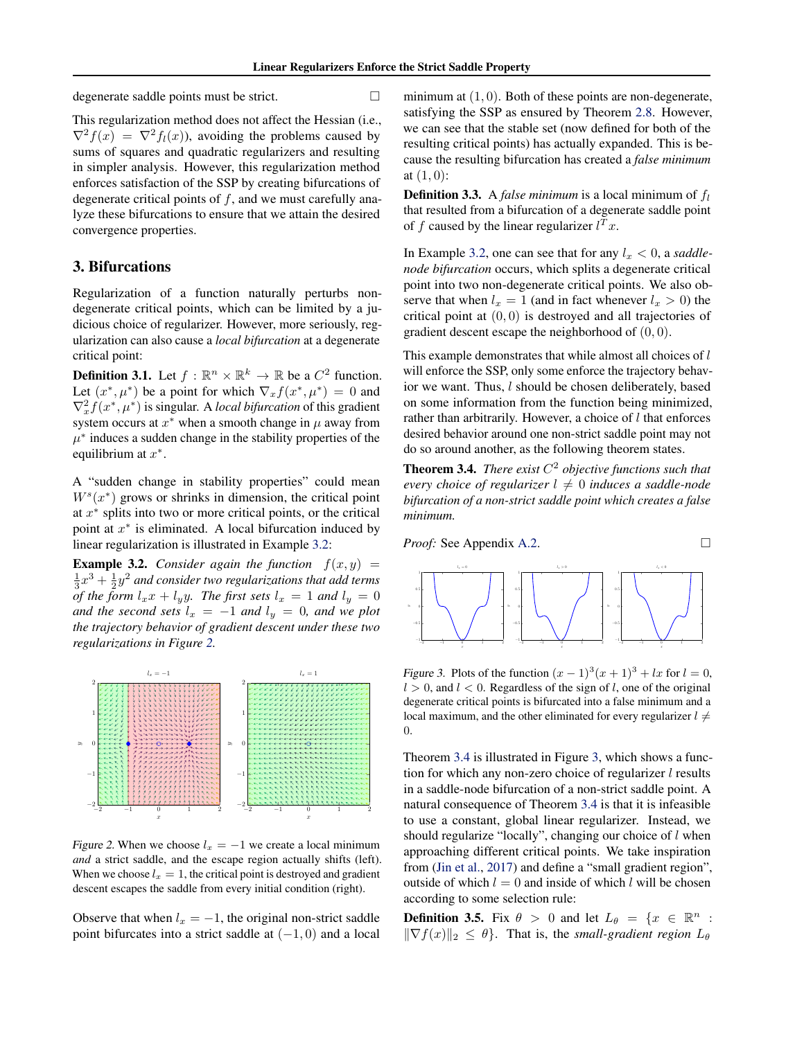degenerate saddle points must be strict.

This regularization method does not affect the Hessian (i.e.,  $\nabla^2 f(x) = \nabla^2 f_1(x)$ , avoiding the problems caused by sums of squares and quadratic regularizers and resulting in simpler analysis. However, this regularization method enforces satisfaction of the SSP by creating bifurcations of degenerate critical points of  $f$ , and we must carefully analyze these bifurcations to ensure that we attain the desired convergence properties.

# <span id="page-3-0"></span>3. Bifurcations

Regularization of a function naturally perturbs nondegenerate critical points, which can be limited by a judicious choice of regularizer. However, more seriously, regularization can also cause a *local bifurcation* at a degenerate critical point:

**Definition 3.1.** Let  $f : \mathbb{R}^n \times \mathbb{R}^k \to \mathbb{R}$  be a  $C^2$  function. Let  $(x^*, \mu^*)$  be a point for which  $\nabla_x f(x^*, \mu^*) = 0$  and  $\nabla_x^2 f(x^*, \mu^*)$  is singular. A *local bifurcation* of this gradient system occurs at  $x^*$  when a smooth change in  $\mu$  away from  $\mu^*$  induces a sudden change in the stability properties of the equilibrium at  $x^*$ .

A "sudden change in stability properties" could mean  $W<sup>s</sup>(x<sup>*</sup>)$  grows or shrinks in dimension, the critical point at  $x^*$  splits into two or more critical points, or the critical point at  $x^*$  is eliminated. A local bifurcation induced by linear regularization is illustrated in Example [3.2:](#page-3-1)

<span id="page-3-1"></span>**Example 3.2.** *Consider again the function*  $f(x, y) =$  $\frac{1}{3}x^3+\frac{1}{2}y^2$  and consider two regularizations that add terms *of the form*  $l_x x + l_y y$ *. The first sets*  $l_x = 1$  *and*  $l_y = 0$ *and the second sets*  $l_x = -1$  *and*  $l_y = 0$ *, and we plot the trajectory behavior of gradient descent under these two regularizations in Figure [2.](#page-3-2)*



Figure 2. When we choose  $l_x = -1$  we create a local minimum *and* a strict saddle, and the escape region actually shifts (left). When we choose  $l_x = 1$ , the critical point is destroyed and gradient descent escapes the saddle from every initial condition (right).

Observe that when  $l_x = -1$ , the original non-strict saddle point bifurcates into a strict saddle at  $(-1, 0)$  and a local minimum at  $(1, 0)$ . Both of these points are non-degenerate, satisfying the SSP as ensured by Theorem [2.8.](#page-2-4) However, we can see that the stable set (now defined for both of the resulting critical points) has actually expanded. This is because the resulting bifurcation has created a *false minimum* at  $(1, 0)$ :

**Definition 3.3.** A *false minimum* is a local minimum of  $f_l$ that resulted from a bifurcation of a degenerate saddle point of f caused by the linear regularizer  $l^T x$ .

In Example [3.2,](#page-3-1) one can see that for any  $l_x < 0$ , a *saddlenode bifurcation* occurs, which splits a degenerate critical point into two non-degenerate critical points. We also observe that when  $l_x = 1$  (and in fact whenever  $l_x > 0$ ) the critical point at  $(0, 0)$  is destroyed and all trajectories of gradient descent escape the neighborhood of  $(0, 0)$ .

This example demonstrates that while almost all choices of  $l$ will enforce the SSP, only some enforce the trajectory behavior we want. Thus, l should be chosen deliberately, based on some information from the function being minimized, rather than arbitrarily. However, a choice of  $l$  that enforces desired behavior around one non-strict saddle point may not do so around another, as the following theorem states.

<span id="page-3-3"></span>**Theorem 3.4.** *There exist*  $C^2$  *objective functions such that every choice of regularizer*  $l \neq 0$  *induces a saddle-node bifurcation of a non-strict saddle point which creates a false minimum.*



x

Figure 3. Plots of the function  $(x-1)^3(x+1)^3 + lx$  for  $l = 0$ ,  $l > 0$ , and  $l < 0$ . Regardless of the sign of l, one of the original degenerate critical points is bifurcated into a false minimum and a local maximum, and the other eliminated for every regularizer  $l \neq$ 0.

x

<span id="page-3-4"></span>x

<span id="page-3-2"></span>Theorem [3.4](#page-3-3) is illustrated in Figure [3,](#page-3-4) which shows a function for which any non-zero choice of regularizer  $l$  results in a saddle-node bifurcation of a non-strict saddle point. A natural consequence of Theorem [3.4](#page-3-3) is that it is infeasible to use a constant, global linear regularizer. Instead, we should regularize "locally", changing our choice of  $l$  when approaching different critical points. We take inspiration from [\(Jin et al.,](#page-8-14) [2017\)](#page-8-14) and define a "small gradient region", outside of which  $l = 0$  and inside of which l will be chosen according to some selection rule:

**Definition 3.5.** Fix  $\theta > 0$  and let  $L_{\theta} = \{x \in \mathbb{R}^n :$  $\|\nabla f(x)\|_2 \leq \theta$ . That is, the *small-gradient region*  $L_\theta$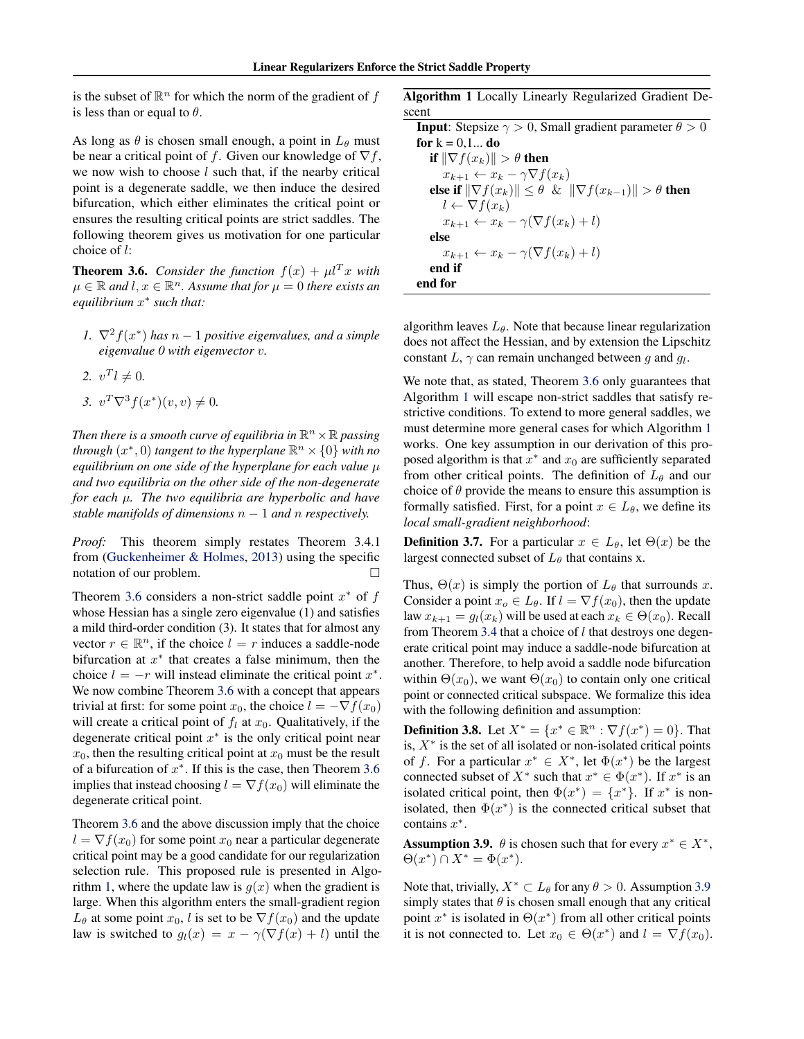is the subset of  $\mathbb{R}^n$  for which the norm of the gradient of f is less than or equal to  $\theta$ .

As long as  $\theta$  is chosen small enough, a point in  $L_{\theta}$  must be near a critical point of f. Given our knowledge of  $\nabla f$ , we now wish to choose  $l$  such that, if the nearby critical point is a degenerate saddle, we then induce the desired bifurcation, which either eliminates the critical point or ensures the resulting critical points are strict saddles. The following theorem gives us motivation for one particular choice of l:

<span id="page-4-0"></span>**Theorem 3.6.** *Consider the function*  $f(x) + \mu^T x$  *with*  $\mu \in \mathbb{R}$  and  $l, x \in \mathbb{R}^n$ . Assume that for  $\mu = 0$  there exists an *equilibrium* x ∗ *such that:*

- *1.*  $\nabla^2 f(x^*)$  has  $n-1$  positive eigenvalues, and a simple *eigenvalue 0 with eigenvector* v*.*
- 2.  $v^T l \neq 0.$
- 3.  $v^T \nabla^3 f(x^*)(v, v) \neq 0.$

Then there is a smooth curve of equilibria in  $\mathbb{R}^n \times \mathbb{R}$  passing *through*  $(x^*,0)$  *tangent to the hyperplane*  $\mathbb{R}^n \times \{0\}$  *with no equilibrium on one side of the hyperplane for each value* µ *and two equilibria on the other side of the non-degenerate for each* µ*. The two equilibria are hyperbolic and have stable manifolds of dimensions*  $n - 1$  *and*  $n$  *respectively.* 

*Proof:* This theorem simply restates Theorem 3.4.1 from [\(Guckenheimer & Holmes,](#page-8-23) [2013\)](#page-8-23) using the specific notation of our problem.

Theorem [3.6](#page-4-0) considers a non-strict saddle point  $x^*$  of  $f$ whose Hessian has a single zero eigenvalue (1) and satisfies a mild third-order condition (3). It states that for almost any vector  $r \in \mathbb{R}^n$ , if the choice  $l = r$  induces a saddle-node bifurcation at  $x^*$  that creates a false minimum, then the choice  $l = -r$  will instead eliminate the critical point  $x^*$ . We now combine Theorem [3.6](#page-4-0) with a concept that appears trivial at first: for some point  $x_0$ , the choice  $l = -\nabla f(x_0)$ will create a critical point of  $f_l$  at  $x_0$ . Qualitatively, if the degenerate critical point  $x^*$  is the only critical point near  $x_0$ , then the resulting critical point at  $x_0$  must be the result of a bifurcation of  $x^*$ . If this is the case, then Theorem [3.6](#page-4-0) implies that instead choosing  $l = \nabla f(x_0)$  will eliminate the degenerate critical point.

Theorem [3.6](#page-4-0) and the above discussion imply that the choice  $l = \nabla f(x_0)$  for some point  $x_0$  near a particular degenerate critical point may be a good candidate for our regularization selection rule. This proposed rule is presented in Algo-rithm [1,](#page-4-1) where the update law is  $g(x)$  when the gradient is large. When this algorithm enters the small-gradient region  $L_{\theta}$  at some point  $x_0$ , l is set to be  $\nabla f(x_0)$  and the update law is switched to  $q_l(x) = x - \gamma(\nabla f(x) + l)$  until the

Algorithm 1 Locally Linearly Regularized Gradient Descent

<span id="page-4-1"></span>**Input:** Stepsize  $\gamma > 0$ , Small gradient parameter  $\theta > 0$ for  $k = 0, 1...$  do if  $\|\nabla f(x_k)\| > \theta$  then  $x_{k+1} \leftarrow x_k - \gamma \nabla f(x_k)$ else if  $\|\nabla f(x_k)\| \leq \theta \& \|\nabla f(x_{k-1})\| > \theta$  then  $l \leftarrow \nabla f(x_k)$  $x_{k+1} \leftarrow x_k - \gamma(\nabla f(x_k) + l)$ else  $x_{k+1} \leftarrow x_k - \gamma(\nabla f(x_k) + l)$ end if end for

algorithm leaves  $L_{\theta}$ . Note that because linear regularization does not affect the Hessian, and by extension the Lipschitz constant L,  $\gamma$  can remain unchanged between g and  $g_l$ .

We note that, as stated, Theorem [3.6](#page-4-0) only guarantees that Algorithm [1](#page-4-1) will escape non-strict saddles that satisfy restrictive conditions. To extend to more general saddles, we must determine more general cases for which Algorithm [1](#page-4-1) works. One key assumption in our derivation of this proposed algorithm is that  $x^*$  and  $x_0$  are sufficiently separated from other critical points. The definition of  $L_{\theta}$  and our choice of  $\theta$  provide the means to ensure this assumption is formally satisfied. First, for a point  $x \in L_{\theta}$ , we define its *local small-gradient neighborhood*:

**Definition 3.7.** For a particular  $x \in L_{\theta}$ , let  $\Theta(x)$  be the largest connected subset of  $L_\theta$  that contains x.

Thus,  $\Theta(x)$  is simply the portion of  $L_{\theta}$  that surrounds x. Consider a point  $x_o \in L_\theta$ . If  $l = \nabla f(x_o)$ , then the update law  $x_{k+1} = g_l(x_k)$  will be used at each  $x_k \in \Theta(x_0)$ . Recall from Theorem [3.4](#page-3-3) that a choice of  $l$  that destroys one degenerate critical point may induce a saddle-node bifurcation at another. Therefore, to help avoid a saddle node bifurcation within  $\Theta(x_0)$ , we want  $\Theta(x_0)$  to contain only one critical point or connected critical subspace. We formalize this idea with the following definition and assumption:

**Definition 3.8.** Let  $X^* = \{x^* \in \mathbb{R}^n : \nabla f(x^*) = 0\}$ . That is,  $X^*$  is the set of all isolated or non-isolated critical points of f. For a particular  $x^* \in X^*$ , let  $\Phi(x^*)$  be the largest connected subset of  $X^*$  such that  $x^* \in \Phi(x^*)$ . If  $x^*$  is an isolated critical point, then  $\Phi(x^*) = \{x^*\}$ . If  $x^*$  is nonisolated, then  $\Phi(x^*)$  is the connected critical subset that contains  $x^*$ .

<span id="page-4-2"></span>**Assumption 3.9.**  $\theta$  is chosen such that for every  $x^* \in X^*$ ,  $\Theta(x^*) \cap X^* = \Phi(x^*).$ 

Note that, trivially,  $X^* \subset L_\theta$  for any  $\theta > 0$ . Assumption [3.9](#page-4-2) simply states that  $\theta$  is chosen small enough that any critical point  $x^*$  is isolated in  $\Theta(x^*)$  from all other critical points it is not connected to. Let  $x_0 \in \Theta(x^*)$  and  $l = \nabla f(x_0)$ .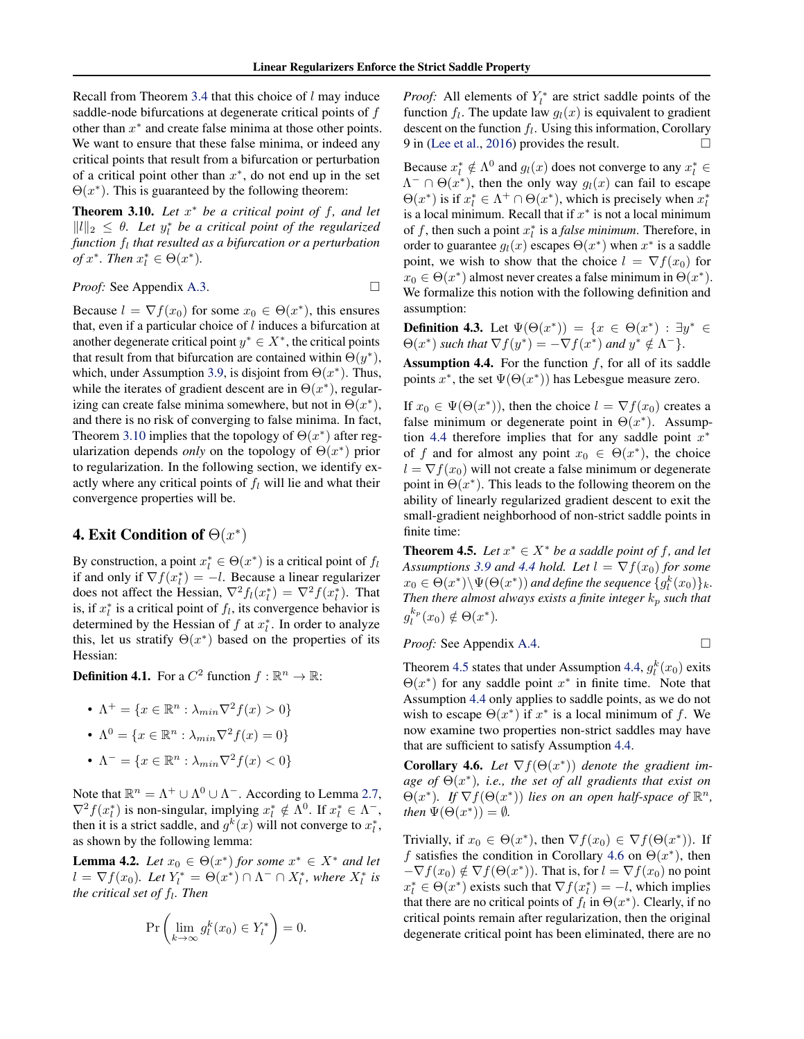Recall from Theorem [3.4](#page-3-3) that this choice of  $l$  may induce saddle-node bifurcations at degenerate critical points of f other than  $x^*$  and create false minima at those other points. We want to ensure that these false minima, or indeed any critical points that result from a bifurcation or perturbation of a critical point other than  $x^*$ , do not end up in the set  $\Theta(x^*)$ . This is guaranteed by the following theorem:

<span id="page-5-1"></span>Theorem 3.10. *Let* x <sup>∗</sup> *be a critical point of* f*, and let*  $||l||_2 \leq \theta$ . Let  $y_l^*$  be a critical point of the regularized *function* f<sup>l</sup> *that resulted as a bifurcation or a perturbation of*  $x^*$ *. Then*  $x_l^* \in \Theta(x^*)$ *.* 

*Proof:* See Appendix [A.3.](#page-9-2)

$$
\Box
$$

Because  $l = \nabla f(x_0)$  for some  $x_0 \in \Theta(x^*)$ , this ensures that, even if a particular choice of  $l$  induces a bifurcation at another degenerate critical point  $y^* \in X^*$ , the critical points that result from that bifurcation are contained within  $\Theta(y^*)$ , which, under Assumption [3.9,](#page-4-2) is disjoint from  $\Theta(x^*)$ . Thus, while the iterates of gradient descent are in  $\Theta(x^*)$ , regularizing can create false minima somewhere, but not in  $\Theta(x^*)$ , and there is no risk of converging to false minima. In fact, Theorem [3.10](#page-5-1) implies that the topology of  $\Theta(x^*)$  after regularization depends *only* on the topology of  $\Theta(x^*)$  prior to regularization. In the following section, we identify exactly where any critical points of  $f_l$  will lie and what their convergence properties will be.

# <span id="page-5-0"></span>**4. Exit Condition of**  $\Theta(x^*)$

By construction, a point  $x_l^* \in \Theta(x^*)$  is a critical point of  $f_l$ if and only if  $\nabla f(x_i^*) = -l$ . Because a linear regularizer does not affect the Hessian,  $\nabla^2 f_l(x_l^*) = \nabla^2 f(x_l^*)$ . That is, if  $x_i^*$  is a critical point of  $f_i$ , its convergence behavior is determined by the Hessian of  $f$  at  $x_i^*$ . In order to analyze this, let us stratify  $\Theta(x^*)$  based on the properties of its Hessian:

**Definition 4.1.** For a  $C^2$  function  $f : \mathbb{R}^n \to \mathbb{R}$ :

- $\Lambda^+ = \{x \in \mathbb{R}^n : \lambda_{min} \nabla^2 f(x) > 0\}$
- $\Lambda^0 = \{ x \in \mathbb{R}^n : \lambda_{min} \nabla^2 f(x) = 0 \}$
- $\Lambda^- = \{x \in \mathbb{R}^n : \lambda_{min} \nabla^2 f(x) < 0\}$

Note that  $\mathbb{R}^n = \Lambda^+ \cup \Lambda^0 \cup \Lambda^-$ . According to Lemma [2.7,](#page-2-3)  $\nabla^2 f(x_l^*)$  is non-singular, implying  $x_l^* \notin \Lambda^0$ . If  $x_l^* \in \Lambda^-$ , then it is a strict saddle, and  $g^k(x)$  will not converge to  $x_i^*$ , as shown by the following lemma:

<span id="page-5-5"></span>**Lemma 4.2.** *Let*  $x_0 \in \Theta(x^*)$  *for some*  $x^* \in X^*$  *and let*  $l = \nabla f(x_0)$ . Let  $Y_l^* = \Theta(x^*) \cap \Lambda^- \cap X_l^*$ , where  $X_l^*$  is the critical set of  $f_l$ . Then

$$
\Pr\left(\lim_{k\to\infty} g_l^k(x_0) \in Y_l^*\right) = 0.
$$

*Proof:* All elements of  $Y_l^*$  are strict saddle points of the function  $f_l$ . The update law  $g_l(x)$  is equivalent to gradient descent on the function  $f_l$ . Using this information, Corollary 9 in [\(Lee et al.,](#page-8-2) [2016\)](#page-8-2) provides the result.  $\Box$ 

Because  $x_l^* \notin \Lambda^0$  and  $g_l(x)$  does not converge to any  $x_l^* \in$  $\Lambda^{-} \cap \Theta(x^*)$ , then the only way  $g_l(x)$  can fail to escape  $\Theta(x^*)$  is if  $x_l^* \in \Lambda^+ \cap \Theta(x^*)$ , which is precisely when  $x_l^*$ is a local minimum. Recall that if  $x^*$  is not a local minimum of f, then such a point  $x_i^*$  is a *false minimum*. Therefore, in order to guarantee  $g_l(x)$  escapes  $\Theta(x^*)$  when  $x^*$  is a saddle point, we wish to show that the choice  $l = \nabla f(x_0)$  for  $x_0 \in \Theta(x^*)$  almost never creates a false minimum in  $\Theta(x^*)$ . We formalize this notion with the following definition and assumption:

**Definition 4.3.** Let  $\Psi(\Theta(x^*)) = \{x \in \Theta(x^*) : \exists y^* \in \Theta(x^*)\}$  $\Theta(x^*)$  such that  $\nabla f(y^*) = -\nabla f(x^*)$  and  $y^* \notin \Lambda^-\}.$ 

<span id="page-5-2"></span>**Assumption 4.4.** For the function  $f$ , for all of its saddle points  $x^*$ , the set  $\Psi(\Theta(x^*))$  has Lebesgue measure zero.

If  $x_0 \in \Psi(\Theta(x^*))$ , then the choice  $l = \nabla f(x_0)$  creates a false minimum or degenerate point in  $\Theta(x^*)$ . Assump-tion [4.4](#page-5-2) therefore implies that for any saddle point  $x^*$ of f and for almost any point  $x_0 \in \Theta(x^*)$ , the choice  $l = \nabla f(x_0)$  will not create a false minimum or degenerate point in  $\Theta(x^*)$ . This leads to the following theorem on the ability of linearly regularized gradient descent to exit the small-gradient neighborhood of non-strict saddle points in finite time:

<span id="page-5-3"></span>**Theorem 4.5.** *Let*  $x^* \in X^*$  *be a saddle point of f, and let Assumptions* [3.9](#page-4-2) *and* [4.4](#page-5-2) *hold.* Let  $l = \nabla f(x_0)$  *for some*  $x_0 \in \Theta(x^*) \setminus \Psi(\Theta(x^*))$  and define the sequence  $\{g_l^k(x_0)\}_k$ . *Then there almost always exists a finite integer*  $k_p$  *such that*  $g_l^{k_p}$  $l_i^{k_p}(x_0) \notin \Theta(x^*).$ 

*Proof:* See Appendix [A.4.](#page-9-3) □

Theorem [4.5](#page-5-3) states that under Assumption [4.4,](#page-5-2)  $g_l^k(x_0)$  exits  $\Theta(x^*)$  for any saddle point  $x^*$  in finite time. Note that Assumption [4.4](#page-5-2) only applies to saddle points, as we do not wish to escape  $\Theta(x^*)$  if  $x^*$  is a local minimum of f. We now examine two properties non-strict saddles may have that are sufficient to satisfy Assumption [4.4.](#page-5-2)

<span id="page-5-4"></span>**Corollary 4.6.** Let  $\nabla f(\Theta(x^*))$  denote the gradient im*age of* Θ(x ∗ )*, i.e., the set of all gradients that exist on*  $\Theta(x^*)$ . If  $\nabla f(\Theta(x^*))$  lies on an open half-space of  $\mathbb{R}^n$ , *then*  $\Psi(\Theta(x^*)) = \emptyset$ *.* 

Trivially, if  $x_0 \in \Theta(x^*)$ , then  $\nabla f(x_0) \in \nabla f(\Theta(x^*))$ . If f satisfies the condition in Corollary [4.6](#page-5-4) on  $\Theta(x^*)$ , then  $-\nabla f(x_0) \notin \nabla f(\Theta(x^*))$ . That is, for  $l = \nabla f(x_0)$  no point  $x_l^* \in \Theta(x^*)$  exists such that  $\nabla f(x_l^*) = -l$ , which implies that there are no critical points of  $f_l$  in  $\Theta(x^*)$ . Clearly, if no critical points remain after regularization, then the original degenerate critical point has been eliminated, there are no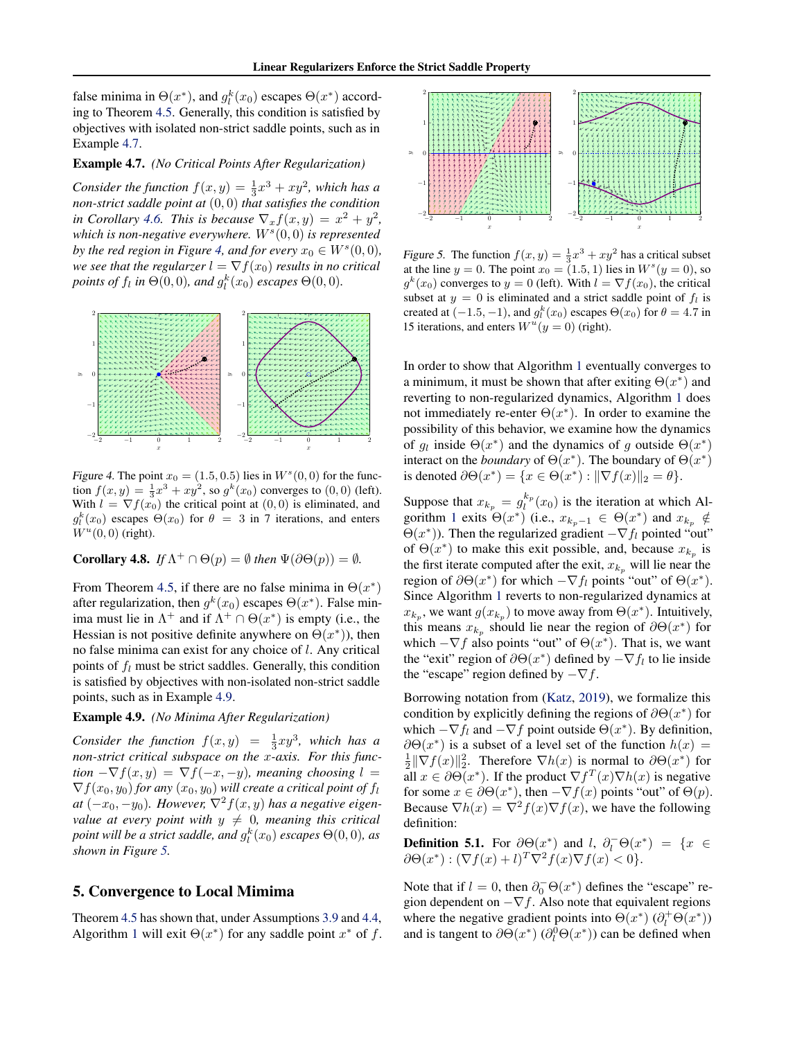false minima in  $\Theta(x^*)$ , and  $g_l^k(x_0)$  escapes  $\Theta(x^*)$  according to Theorem [4.5.](#page-5-3) Generally, this condition is satisfied by objectives with isolated non-strict saddle points, such as in Example [4.7.](#page-6-1)

### <span id="page-6-1"></span>Example 4.7. *(No Critical Points After Regularization)*

Consider the function  $f(x,y) = \frac{1}{3}x^3 + xy^2$ , which has a *non-strict saddle point at* (0, 0) *that satisfies the condition in Corollary* [4.6.](#page-5-4) *This is because*  $\nabla_x f(x, y) = x^2 + y^2$ , which is non-negative everywhere.  $W<sup>s</sup>(0,0)$  is represented *by the red region in Figure [4,](#page-6-2) and for every*  $x_0 \in W^s(0,0)$ *, we see that the regularzer*  $l = \nabla f(x_0)$  *results in no critical points of*  $f_l$  *in*  $\Theta(0,0)$ *, and*  $g_l^k(x_0)$  *escapes*  $\Theta(0,0)$ *.* 



Figure 4. The point  $x_0 = (1.5, 0.5)$  lies in  $W^s(0,0)$  for the function  $f(x, y) = \frac{1}{3}x^3 + xy^2$ , so  $g^k(x_0)$  converges to  $(0, 0)$  (left). With  $l = \nabla f(x_0)$  the critical point at  $(0, 0)$  is eliminated, and  $g_l^k(x_0)$  escapes  $\Theta(x_0)$  for  $\theta = 3$  in 7 iterations, and enters  $W^u(0,0)$  (right).

**Corollary 4.8.** *If*  $\Lambda^+ \cap \Theta(p) = \emptyset$  *then*  $\Psi(\partial \Theta(p)) = \emptyset$ *.* 

From Theorem [4.5,](#page-5-3) if there are no false minima in  $\Theta(x^*)$ after regularization, then  $g^k(x_0)$  escapes  $\Theta(x^*)$ . False minima must lie in  $\Lambda^+$  and if  $\Lambda^+ \cap \Theta(x^*)$  is empty (i.e., the Hessian is not positive definite anywhere on  $\Theta(x^*)$ ), then no false minima can exist for any choice of l. Any critical points of  $f_l$  must be strict saddles. Generally, this condition is satisfied by objectives with non-isolated non-strict saddle points, such as in Example [4.9.](#page-6-3)

### <span id="page-6-3"></span>Example 4.9. *(No Minima After Regularization)*

*Consider the function*  $f(x,y) = \frac{1}{3}xy^3$ , which has a *non-strict critical subspace on the* x*-axis. For this func-* $\text{tion } -\nabla f(x, y) = \nabla f(-x, -y)$ , meaning choosing  $l =$  $\nabla f(x_0, y_0)$  *for any*  $(x_0, y_0)$  *will create a critical point of*  $f_l$ *at*  $(-x_0, -y_0)$ *. However,*  $\nabla^2 f(x, y)$  *has a negative eigenvalue at every point with*  $y \neq 0$ *, meaning this critical* point will be a strict saddle, and  $g_l^k(x_0)$  escapes  $\Theta(0,0)$ , as *shown in Figure [5.](#page-6-4)*

### <span id="page-6-0"></span>5. Convergence to Local Mimima

Theorem [4.5](#page-5-3) has shown that, under Assumptions [3.9](#page-4-2) and [4.4,](#page-5-2) Algorithm [1](#page-4-1) will exit  $\Theta(x^*)$  for any saddle point  $x^*$  of f.



<span id="page-6-4"></span>Figure 5. The function  $f(x, y) = \frac{1}{3}x^3 + xy^2$  has a critical subset at the line  $y = 0$ . The point  $x_0 = (1.5, 1)$  lies in  $W^s(y = 0)$ , so  $g^k(x_0)$  converges to  $y = 0$  (left). With  $l = \nabla f(x_0)$ , the critical subset at  $y = 0$  is eliminated and a strict saddle point of  $f_l$  is created at  $(-1.5, -1)$ , and  $g_l^k(x_0)$  escapes  $\Theta(x_0)$  for  $\theta = 4.7$  in 15 iterations, and enters  $W^u(y=0)$  (right).

In order to show that Algorithm [1](#page-4-1) eventually converges to a minimum, it must be shown that after exiting  $\Theta(x^*)$  and reverting to non-regularized dynamics, Algorithm [1](#page-4-1) does not immediately re-enter  $\Theta(x^*)$ . In order to examine the possibility of this behavior, we examine how the dynamics of  $g_l$  inside  $\Theta(x^*)$  and the dynamics of g outside  $\Theta(x^*)$ interact on the *boundary* of  $\Theta(x^*)$ . The boundary of  $\Theta(x^*)$ is denoted  $\partial \Theta(x^*) = \{x \in \Theta(x^*) : ||\nabla f(x)||_2 = \theta\}.$ 

<span id="page-6-2"></span>Suppose that  $x_{k_p} = g_l^{k_p}$  $\binom{k_p}{l}(x_0)$  is the iteration at which Al-gorithm [1](#page-4-1) exits  $\Theta(x^*)$  (i.e.,  $x_{k_p-1} \in \Theta(x^*)$  and  $x_{k_p} \notin$  $\Theta(x^*)$ ). Then the regularized gradient  $-\nabla f_l$  pointed "out" of  $\Theta(x^*)$  to make this exit possible, and, because  $x_{k_p}$  is the first iterate computed after the exit,  $x_{k_p}$  will lie near the region of  $\partial \Theta(x^*)$  for which  $-\nabla f_l$  points "out" of  $\Theta(x^*)$ . Since Algorithm [1](#page-4-1) reverts to non-regularized dynamics at  $x_{k_p}$ , we want  $g(x_{k_p})$  to move away from  $\Theta(x^*)$ . Intuitively, this means  $x_{k_p}$  should lie near the region of  $\partial \Theta(x^*)$  for which  $-\nabla f$  also points "out" of  $\Theta(x^*)$ . That is, we want the "exit" region of  $\partial \Theta(x^*)$  defined by  $-\nabla f_l$  to lie inside the "escape" region defined by  $-\nabla f$ .

Borrowing notation from [\(Katz,](#page-8-24) [2019\)](#page-8-24), we formalize this condition by explicitly defining the regions of  $\partial \Theta(x^*)$  for which  $-\nabla f_l$  and  $-\nabla f$  point outside  $\Theta(x^*)$ . By definition,  $\partial \Theta(x^*)$  is a subset of a level set of the function  $h(x) =$  $\frac{1}{2} \|\nabla f(x)\|_2^2$ . Therefore  $\nabla h(x)$  is normal to  $\partial \Theta(x^*)$  for all  $x \in \partial \Theta(x^*)$ . If the product  $\nabla f^T(x) \nabla h(x)$  is negative for some  $x \in \partial \Theta(x^*)$ , then  $-\nabla f(x)$  points "out" of  $\Theta(p)$ . Because  $\nabla h(x) = \nabla^2 f(x) \nabla f(x)$ , we have the following definition:

<span id="page-6-5"></span>**Definition 5.1.** For  $\partial \Theta(x^*)$  and l,  $\partial_l^-\Theta(x^*) = \{x \in$  $\partial \Theta(x^*) : (\nabla f(x) + l)^T \nabla^2 f(x) \nabla f(x) < 0$ .

Note that if  $l = 0$ , then  $\partial_0^- \Theta(x^*)$  defines the "escape" region dependent on  $-\nabla f$ . Also note that equivalent regions where the negative gradient points into  $\Theta(x^*) (\partial_l^+ \Theta(x^*))$ and is tangent to  $\partial \Theta(x^*) (\partial_l^0 \Theta(x^*))$  can be defined when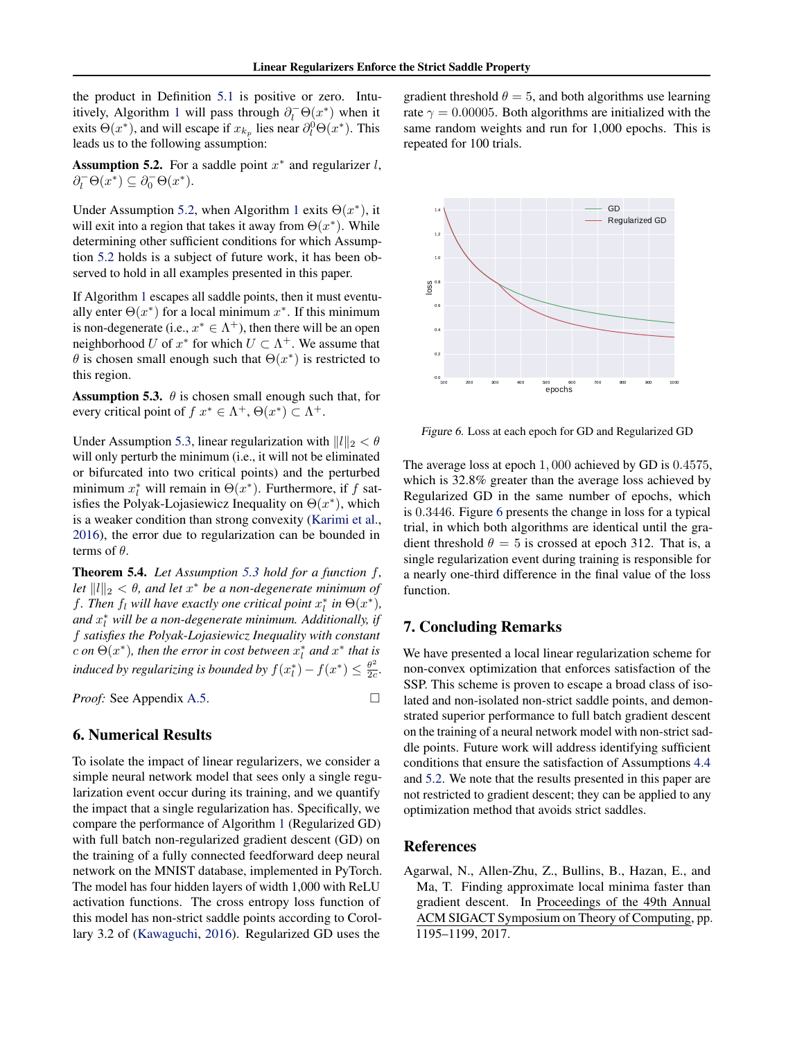the product in Definition [5.1](#page-6-5) is positive or zero. Intu-itively, Algorithm [1](#page-4-1) will pass through  $\partial_l^-\Theta(x^*)$  when it exits  $\Theta(x^*)$ , and will escape if  $x_{k_p}$  lies near  $\partial_l^0 \Theta(x^*)$ . This leads us to the following assumption:

<span id="page-7-3"></span>Assumption 5.2. For a saddle point  $x^*$  and regularizer  $l$ ,  $\partial_l^-\Theta(x^*) \subseteq \partial_0^-\Theta(x^*).$ 

Under Assumption [5.2,](#page-7-3) when Algorithm [1](#page-4-1) exits  $\Theta(x^*)$ , it will exit into a region that takes it away from  $\Theta(x^*)$ . While determining other sufficient conditions for which Assumption [5.2](#page-7-3) holds is a subject of future work, it has been observed to hold in all examples presented in this paper.

If Algorithm [1](#page-4-1) escapes all saddle points, then it must eventually enter  $\Theta(x^*)$  for a local minimum  $x^*$ . If this minimum is non-degenerate (i.e.,  $x^* \in \Lambda^+$ ), then there will be an open neighborhood U of  $x^*$  for which  $U \subset \Lambda^+$ . We assume that  $\theta$  is chosen small enough such that  $\Theta(x^*)$  is restricted to this region.

<span id="page-7-4"></span>**Assumption 5.3.**  $\theta$  is chosen small enough such that, for every critical point of  $f x^* \in \Lambda^+, \Theta(x^*) \subset \Lambda^+.$ 

Under Assumption [5.3,](#page-7-4) linear regularization with  $||l||_2 < \theta$ will only perturb the minimum (i.e., it will not be eliminated or bifurcated into two critical points) and the perturbed minimum  $x_l^*$  will remain in  $\Theta(x^*)$ . Furthermore, if f satisfies the Polyak-Lojasiewicz Inequality on  $\Theta(x^*)$ , which is a weaker condition than strong convexity [\(Karimi et al.,](#page-8-25) [2016\)](#page-8-25), the error due to regularization can be bounded in terms of  $\theta$ .

<span id="page-7-6"></span>Theorem 5.4. *Let Assumption [5.3](#page-7-4) hold for a function* f*, let*  $||l||_2 < \theta$ , and let  $x^*$  be a non-degenerate minimum of *f*. Then  $f_l$  will have exactly one critical point  $x_l^*$  in  $\Theta(x^*)$ , and  $x_l^*$  will be a non-degenerate minimum. Additionally, if f *satisfies the Polyak-Lojasiewicz Inequality with constant c* on  $\Theta(x^*)$ , then the error in cost between  $x_l^*$  and  $x^*$  that is *induced by regularizing is bounded by*  $f(x_l^*) - f(x^*) \leq \frac{\theta^2}{2c}$  $\frac{\theta^2}{2c}$ .

*Proof:* See Appendix [A.5.](#page-9-4) □

# <span id="page-7-1"></span>6. Numerical Results

To isolate the impact of linear regularizers, we consider a simple neural network model that sees only a single regularization event occur during its training, and we quantify the impact that a single regularization has. Specifically, we compare the performance of Algorithm [1](#page-4-1) (Regularized GD) with full batch non-regularized gradient descent (GD) on the training of a fully connected feedforward deep neural network on the MNIST database, implemented in PyTorch. The model has four hidden layers of width 1,000 with ReLU activation functions. The cross entropy loss function of this model has non-strict saddle points according to Corollary 3.2 of [\(Kawaguchi,](#page-8-5) [2016\)](#page-8-5). Regularized GD uses the

gradient threshold  $\theta = 5$ , and both algorithms use learning rate  $\gamma = 0.00005$ . Both algorithms are initialized with the same random weights and run for 1,000 epochs. This is repeated for 100 trials.



<span id="page-7-5"></span>Figure 6. Loss at each epoch for GD and Regularized GD

The average loss at epoch 1, 000 achieved by GD is 0.4575, which is 32.8% greater than the average loss achieved by Regularized GD in the same number of epochs, which is 0.3446. Figure [6](#page-7-5) presents the change in loss for a typical trial, in which both algorithms are identical until the gradient threshold  $\theta = 5$  is crossed at epoch 312. That is, a single regularization event during training is responsible for a nearly one-third difference in the final value of the loss function.

# <span id="page-7-2"></span>7. Concluding Remarks

We have presented a local linear regularization scheme for non-convex optimization that enforces satisfaction of the SSP. This scheme is proven to escape a broad class of isolated and non-isolated non-strict saddle points, and demonstrated superior performance to full batch gradient descent on the training of a neural network model with non-strict saddle points. Future work will address identifying sufficient conditions that ensure the satisfaction of Assumptions [4.4](#page-5-2) and [5.2.](#page-7-3) We note that the results presented in this paper are not restricted to gradient descent; they can be applied to any optimization method that avoids strict saddles.

#### References

<span id="page-7-0"></span>Agarwal, N., Allen-Zhu, Z., Bullins, B., Hazan, E., and Ma, T. Finding approximate local minima faster than gradient descent. In Proceedings of the 49th Annual ACM SIGACT Symposium on Theory of Computing, pp. 1195–1199, 2017.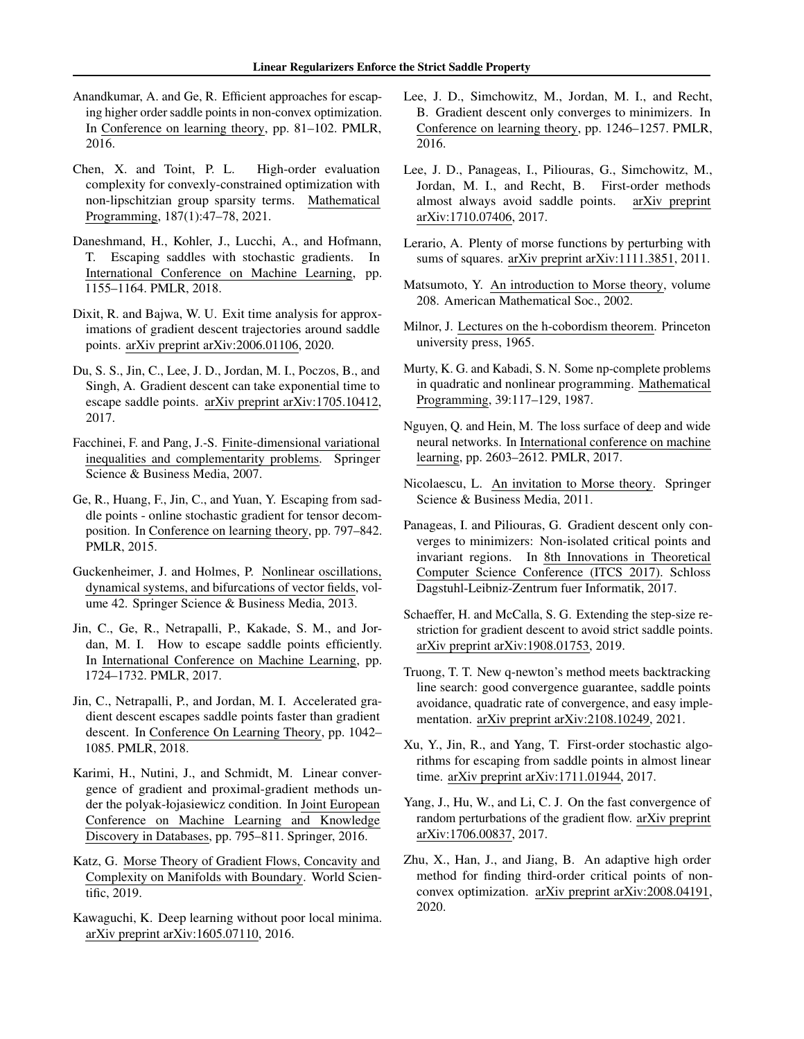- <span id="page-8-16"></span>Anandkumar, A. and Ge, R. Efficient approaches for escaping higher order saddle points in non-convex optimization. In Conference on learning theory, pp. 81–102. PMLR, 2016.
- <span id="page-8-18"></span>Chen, X. and Toint, P. L. High-order evaluation complexity for convexly-constrained optimization with non-lipschitzian group sparsity terms. Mathematical Programming, 187(1):47–78, 2021.
- <span id="page-8-11"></span>Daneshmand, H., Kohler, J., Lucchi, A., and Hofmann, T. Escaping saddles with stochastic gradients. In International Conference on Machine Learning, pp. 1155–1164. PMLR, 2018.
- <span id="page-8-8"></span>Dixit, R. and Bajwa, W. U. Exit time analysis for approximations of gradient descent trajectories around saddle points. arXiv preprint arXiv:2006.01106, 2020.
- <span id="page-8-13"></span>Du, S. S., Jin, C., Lee, J. D., Jordan, M. I., Poczos, B., and Singh, A. Gradient descent can take exponential time to escape saddle points. arXiv preprint arXiv:1705.10412, 2017.
- <span id="page-8-7"></span>Facchinei, F. and Pang, J.-S. Finite-dimensional variational inequalities and complementarity problems. Springer Science & Business Media, 2007.
- <span id="page-8-1"></span>Ge, R., Huang, F., Jin, C., and Yuan, Y. Escaping from saddle points - online stochastic gradient for tensor decomposition. In Conference on learning theory, pp. 797–842. PMLR, 2015.
- <span id="page-8-23"></span>Guckenheimer, J. and Holmes, P. Nonlinear oscillations, dynamical systems, and bifurcations of vector fields, volume 42. Springer Science & Business Media, 2013.
- <span id="page-8-14"></span>Jin, C., Ge, R., Netrapalli, P., Kakade, S. M., and Jordan, M. I. How to escape saddle points efficiently. In International Conference on Machine Learning, pp. 1724–1732. PMLR, 2017.
- <span id="page-8-15"></span>Jin, C., Netrapalli, P., and Jordan, M. I. Accelerated gradient descent escapes saddle points faster than gradient descent. In Conference On Learning Theory, pp. 1042– 1085. PMLR, 2018.
- <span id="page-8-25"></span>Karimi, H., Nutini, J., and Schmidt, M. Linear convergence of gradient and proximal-gradient methods under the polyak-łojasiewicz condition. In Joint European Conference on Machine Learning and Knowledge Discovery in Databases, pp. 795–811. Springer, 2016.
- <span id="page-8-24"></span>Katz, G. Morse Theory of Gradient Flows, Concavity and Complexity on Manifolds with Boundary. World Scientific, 2019.
- <span id="page-8-5"></span>Kawaguchi, K. Deep learning without poor local minima. arXiv preprint arXiv:1605.07110, 2016.
- <span id="page-8-2"></span>Lee, J. D., Simchowitz, M., Jordan, M. I., and Recht, B. Gradient descent only converges to minimizers. In Conference on learning theory, pp. 1246–1257. PMLR, 2016.
- <span id="page-8-4"></span>Lee, J. D., Panageas, I., Piliouras, G., Simchowitz, M., Jordan, M. I., and Recht, B. First-order methods almost always avoid saddle points. arXiv preprint arXiv:1710.07406, 2017.
- <span id="page-8-21"></span>Lerario, A. Plenty of morse functions by perturbing with sums of squares. arXiv preprint arXiv:1111.3851, 2011.
- <span id="page-8-26"></span>Matsumoto, Y. An introduction to Morse theory, volume 208. American Mathematical Soc., 2002.
- <span id="page-8-6"></span>Milnor, J. Lectures on the h-cobordism theorem. Princeton university press, 1965.
- <span id="page-8-0"></span>Murty, K. G. and Kabadi, S. N. Some np-complete problems in quadratic and nonlinear programming. Mathematical Programming, 39:117–129, 1987.
- <span id="page-8-20"></span>Nguyen, Q. and Hein, M. The loss surface of deep and wide neural networks. In International conference on machine learning, pp. 2603–2612. PMLR, 2017.
- <span id="page-8-22"></span>Nicolaescu, L. An invitation to Morse theory. Springer Science & Business Media, 2011.
- <span id="page-8-3"></span>Panageas, I. and Piliouras, G. Gradient descent only converges to minimizers: Non-isolated critical points and invariant regions. In 8th Innovations in Theoretical Computer Science Conference (ITCS 2017). Schloss Dagstuhl-Leibniz-Zentrum fuer Informatik, 2017.
- <span id="page-8-9"></span>Schaeffer, H. and McCalla, S. G. Extending the step-size restriction for gradient descent to avoid strict saddle points. arXiv preprint arXiv:1908.01753, 2019.
- <span id="page-8-19"></span>Truong, T. T. New q-newton's method meets backtracking line search: good convergence guarantee, saddle points avoidance, quadratic rate of convergence, and easy implementation. arXiv preprint arXiv:2108.10249, 2021.
- <span id="page-8-10"></span>Xu, Y., Jin, R., and Yang, T. First-order stochastic algorithms for escaping from saddle points in almost linear time. arXiv preprint arXiv:1711.01944, 2017.
- <span id="page-8-12"></span>Yang, J., Hu, W., and Li, C. J. On the fast convergence of random perturbations of the gradient flow. arXiv preprint arXiv:1706.00837, 2017.
- <span id="page-8-17"></span>Zhu, X., Han, J., and Jiang, B. An adaptive high order method for finding third-order critical points of nonconvex optimization. arXiv preprint arXiv:2008.04191, 2020.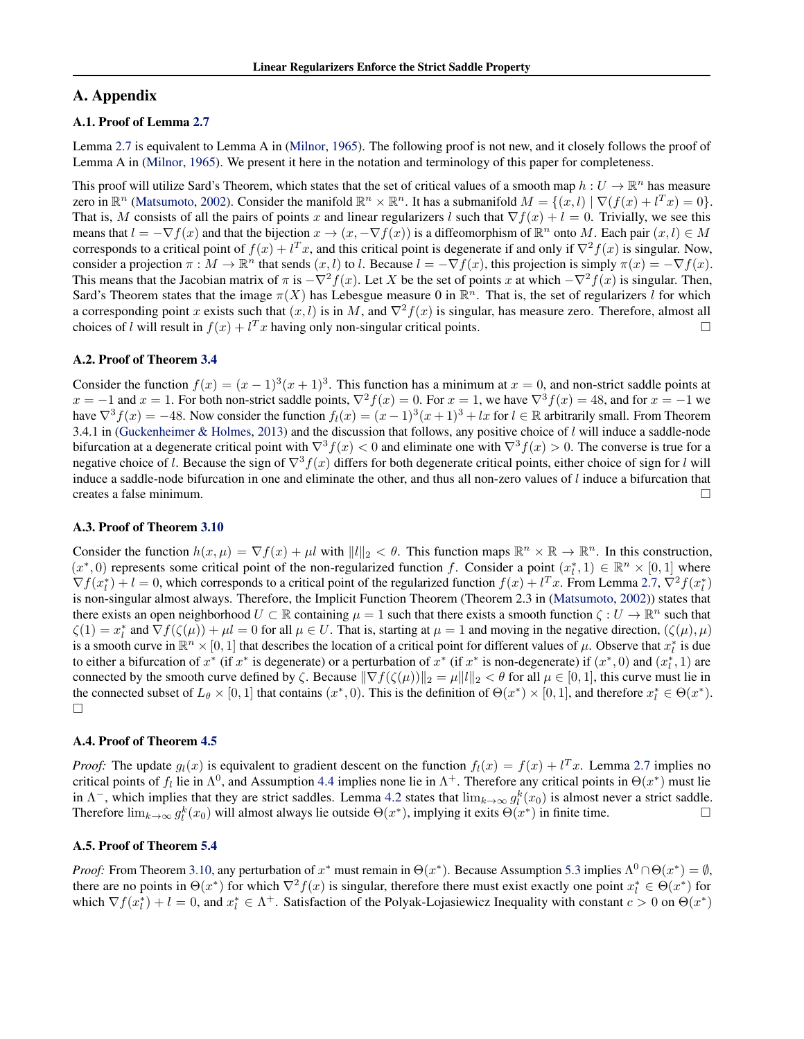# A. Appendix

## <span id="page-9-0"></span>A.1. Proof of Lemma [2.7](#page-2-3)

Lemma [2.7](#page-2-3) is equivalent to Lemma A in [\(Milnor,](#page-8-6) [1965\)](#page-8-6). The following proof is not new, and it closely follows the proof of Lemma A in [\(Milnor,](#page-8-6) [1965\)](#page-8-6). We present it here in the notation and terminology of this paper for completeness.

This proof will utilize Sard's Theorem, which states that the set of critical values of a smooth map  $h: U \to \mathbb{R}^n$  has measure zero in  $\mathbb{R}^n$  [\(Matsumoto,](#page-8-26) [2002\)](#page-8-26). Consider the manifold  $\mathbb{R}^n \times \mathbb{R}^n$ . It has a submanifold  $M = \{(x, l) | \nabla (f(x) + l^T x) = 0\}.$ That is, M consists of all the pairs of points x and linear regularizers l such that  $\nabla f(x) + l = 0$ . Trivially, we see this means that  $l = -\nabla f(x)$  and that the bijection  $x \to (x, -\nabla f(x))$  is a diffeomorphism of  $\mathbb{R}^n$  onto M. Each pair  $(x, l) \in M$ corresponds to a critical point of  $f(x) + l^T x$ , and this critical point is degenerate if and only if  $\nabla^2 f(x)$  is singular. Now, consider a projection  $\pi : M \to \mathbb{R}^n$  that sends  $(x, l)$  to l. Because  $l = -\nabla f(x)$ , this projection is simply  $\pi(x) = -\nabla f(x)$ . This means that the Jacobian matrix of  $\pi$  is  $-\nabla^2 f(x)$ . Let X be the set of points x at which  $-\nabla^2 f(x)$  is singular. Then, Sard's Theorem states that the image  $\pi(X)$  has Lebesgue measure 0 in  $\mathbb{R}^n$ . That is, the set of regularizers l for which a corresponding point x exists such that  $(x, l)$  is in M, and  $\nabla^2 f(x)$  is singular, has measure zero. Therefore, almost all choices of l will result in  $f(x) + l^T x$  having only non-singular critical points. choices of l will result in  $f(x) + l^T x$  having only non-singular critical points.

### <span id="page-9-1"></span>A.2. Proof of Theorem [3.4](#page-3-3)

Consider the function  $f(x) = (x - 1)^3(x + 1)^3$ . This function has a minimum at  $x = 0$ , and non-strict saddle points at  $x = -1$  and  $x = 1$ . For both non-strict saddle points,  $\nabla^2 f(x) = 0$ . For  $x = 1$ , we have  $\nabla^3 f(x) = 48$ , and for  $x = -1$  we have  $\nabla^3 f(x) = -48$ . Now consider the function  $f_l(x) = (x - 1)^3(x + 1)^3 + lx$  for  $l \in \mathbb{R}$  arbitrarily small. From Theorem 3.4.1 in [\(Guckenheimer & Holmes,](#page-8-23) [2013\)](#page-8-23) and the discussion that follows, any positive choice of  $l$  will induce a saddle-node bifurcation at a degenerate critical point with  $\nabla^3 f(x) < 0$  and eliminate one with  $\nabla^3 f(x) > 0$ . The converse is true for a negative choice of l. Because the sign of  $\nabla^3 f(x)$  differs for both degenerate critical points, either choice of sign for l will induce a saddle-node bifurcation in one and eliminate the other, and thus all non-zero values of  $l$  induce a bifurcation that creates a false minimum.

#### <span id="page-9-2"></span>A.3. Proof of Theorem [3.10](#page-5-1)

Consider the function  $h(x, \mu) = \nabla f(x) + \mu l$  with  $||l||_2 < \theta$ . This function maps  $\mathbb{R}^n \times \mathbb{R} \to \mathbb{R}^n$ . In this construction,  $(x^*,0)$  represents some critical point of the non-regularized function f. Consider a point  $(x_i^*,1) \in \mathbb{R}^n \times [0,1]$  where  $\nabla f(x_l^*) + l = 0$ , which corresponds to a critical point of the regularized function  $f(x) + l^T x$ . From Lemma [2.7,](#page-2-3)  $\nabla^2 f(x_l^*)$ is non-singular almost always. Therefore, the Implicit Function Theorem (Theorem 2.3 in [\(Matsumoto,](#page-8-26) [2002\)](#page-8-26)) states that there exists an open neighborhood  $U \subset \mathbb{R}$  containing  $\mu = 1$  such that there exists a smooth function  $\zeta : U \to \mathbb{R}^n$  such that  $\zeta(1) = x_l^*$  and  $\nabla f(\zeta(\mu)) + \mu l = 0$  for all  $\mu \in U$ . That is, starting at  $\mu = 1$  and moving in the negative direction,  $(\zeta(\mu), \mu)$ is a smooth curve in  $\mathbb{R}^n \times [0,1]$  that describes the location of a critical point for different values of  $\mu$ . Observe that  $x_l^*$  is due to either a bifurcation of  $x^*$  (if  $x^*$  is degenerate) or a perturbation of  $x^*$  (if  $x^*$  is non-degenerate) if  $(x^*, 0)$  and  $(x_i^*, 1)$  are connected by the smooth curve defined by  $\zeta$ . Because  $\|\nabla f(\zeta(\mu))\|_2 = \mu \|l\|_2 < \theta$  for all  $\mu \in [0, 1]$ , this curve must lie in the connected subset of  $L_{\theta} \times [0, 1]$  that contains  $(x^*, 0)$ . This is the definition of  $\Theta(x^*) \times [0, 1]$ , and therefore  $x_i^* \in \Theta(x^*)$ .  $\Box$ 

#### <span id="page-9-3"></span>A.4. Proof of Theorem [4.5](#page-5-3)

*Proof:* The update  $g_l(x)$  is equivalent to gradient descent on the function  $f_l(x) = f(x) + l^T x$ . Lemma [2.7](#page-2-3) implies no critical points of  $f_l$  lie in  $\Lambda^0$ , and Assumption [4.4](#page-5-2) implies none lie in  $\Lambda^+$ . Therefore any critical points in  $\Theta(x^*)$  must lie in  $\Lambda^-$ , which implies that they are strict saddles. Lemma [4.2](#page-5-5) states that  $\lim_{k\to\infty} g_l^k(x_0)$  is almost never a strict saddle. Therefore  $\lim_{k\to\infty} g_i^k(x_0)$  will almost always lie outside  $\Theta(x^*)$ , implying it exits  $\Theta(x^*)$  in finite time.

# <span id="page-9-4"></span>A.5. Proof of Theorem [5.4](#page-7-6)

*Proof:* From Theorem [3.10,](#page-5-1) any perturbation of  $x^*$  must remain in  $\Theta(x^*)$ . Because Assumption [5.3](#page-7-4) implies  $\Lambda^0 \cap \Theta(x^*) = \emptyset$ , there are no points in  $\Theta(x^*)$  for which  $\nabla^2 f(x)$  is singular, therefore there must exist exactly one point  $x_i^* \in \Theta(x^*)$  for which  $\nabla f(x_l^*) + l = 0$ , and  $x_l^* \in \Lambda^+$ . Satisfaction of the Polyak-Lojasiewicz Inequality with constant  $c > 0$  on  $\Theta(x^*)$